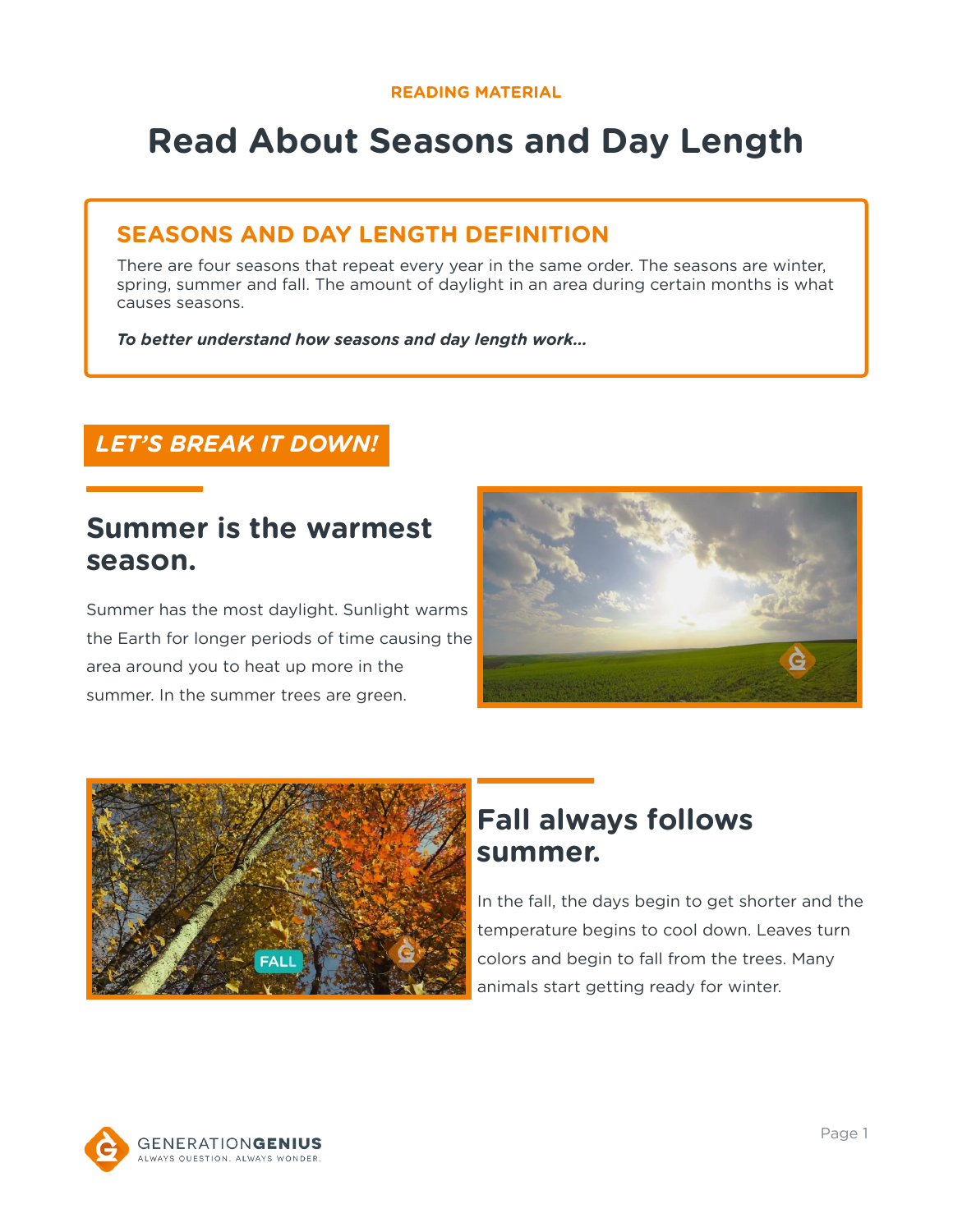# **Read About Seasons and Day Length**

### **SEASONS AND DAY LENGTH DEFINITION**

There are four seasons that repeat every year in the same order. The seasons are winter, spring, summer and fall. The amount of daylight in an area during certain months is what causes seasons.

*To better understand how seasons and day length work…*

### *LET'S BREAK IT DOWN!*

### **Summer is the warmest season.**

Summer has the most daylight. Sunlight warms the Earth for longer periods of time causing the area around you to heat up more in the summer. In the summer trees are green.





# **Fall always follows summer.**

In the fall, the days begin to get shorter and the temperature begins to cool down. Leaves turn colors and begin to fall from the trees. Many animals start getting ready for winter.

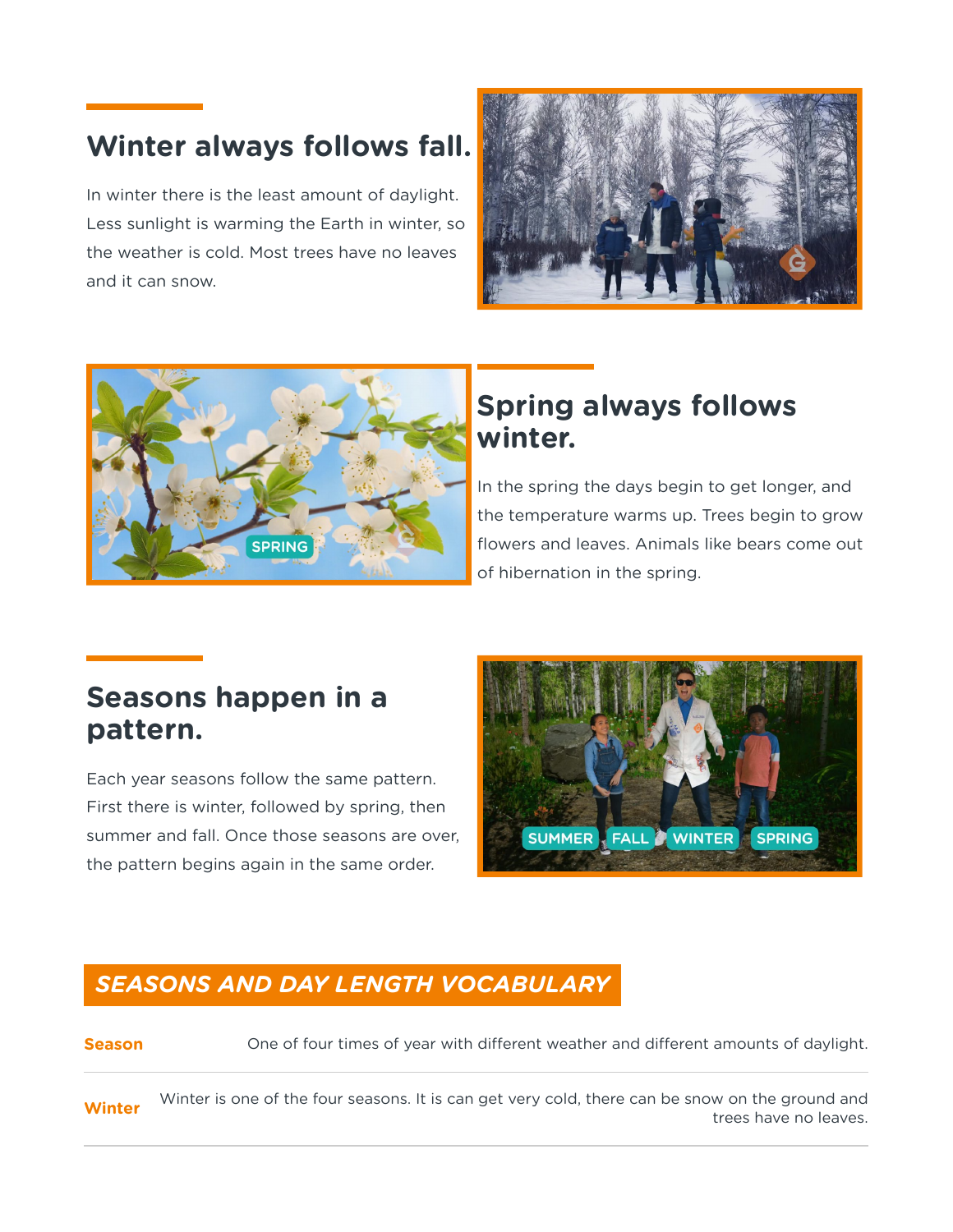# **Winter always follows fall.**

In winter there is the least amount of daylight. Less sunlight is warming the Earth in winter, so the weather is cold. Most trees have no leaves and it can snow.





# **Spring always follows winter.**

In the spring the days begin to get longer, and the temperature warms up. Trees begin to grow flowers and leaves. Animals like bears come out of hibernation in the spring.

# **Seasons happen in a pattern.**

Each year seasons follow the same pattern. First there is winter, followed by spring, then summer and fall. Once those seasons are over, the pattern begins again in the same order.



### *SEASONS AND DAY LENGTH VOCABULARY*

**Season** One of four times of year with different weather and different amounts of daylight.

**Winter** Winter is one of the four seasons. It is can get very cold, there can be snow on the ground and trees have no leaves.